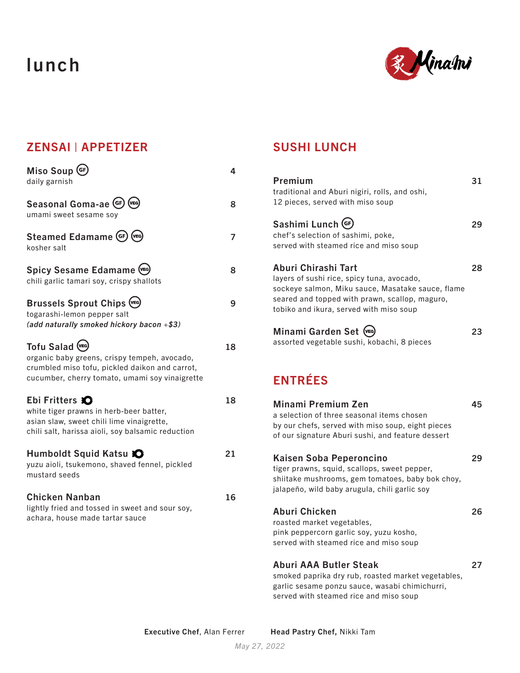# lunch



### ZENSAI | APPETIZER

| Miso Soup GF<br>daily garnish                                                                                                                                        | 4  |
|----------------------------------------------------------------------------------------------------------------------------------------------------------------------|----|
| (VEG)<br>Seasonal Goma-ae (GF)<br>umami sweet sesame soy                                                                                                             | 8  |
| $(v_{EG})$<br>Steamed Edamame (GF)<br>kosher salt                                                                                                                    | 7  |
| Spicy Sesame Edamame (VEG)<br>chili garlic tamari soy, crispy shallots                                                                                               | 8  |
| <b>Brussels Sprout Chips (VEG)</b><br>togarashi-lemon pepper salt<br>(add naturally smoked hickory bacon $+\$ \$3)                                                   | 9  |
| Tofu Salad (VEG)<br>organic baby greens, crispy tempeh, avocado,<br>crumbled miso tofu, pickled daikon and carrot,<br>cucumber, cherry tomato, umami soy vinaigrette | 18 |
| Ebi Fritters <b>O</b><br>white tiger prawns in herb-beer batter,<br>asian slaw, sweet chili lime vinaigrette,<br>chili salt, harissa aioli, soy balsamic reduction   | 18 |
| Humboldt Squid Katsu X<br>yuzu aioli, tsukemono, shaved fennel, pickled<br>mustard seeds                                                                             | 21 |
| <b>Chicken Nanban</b><br>lightly fried and tossed in sweet and sour soy,<br>achara, house made tartar sauce                                                          | 16 |

#### SUSHI LUNCH

| Premium<br>traditional and Aburi nigiri, rolls, and oshi,<br>12 pieces, served with miso soup                                                                                                                       | 31 |
|---------------------------------------------------------------------------------------------------------------------------------------------------------------------------------------------------------------------|----|
| Sashimi Lunch (GF)<br>chef's selection of sashimi, poke,<br>served with steamed rice and miso soup                                                                                                                  | 29 |
| Aburi Chirashi Tart<br>layers of sushi rice, spicy tuna, avocado,<br>sockeye salmon, Miku sauce, Masatake sauce, flame<br>seared and topped with prawn, scallop, maguro,<br>tobiko and ikura, served with miso soup | 28 |
| Minami Garden Set (VEG)<br>assorted vegetable sushi, kobachi, 8 pieces                                                                                                                                              | 23 |
| <b>ENTRÉES</b>                                                                                                                                                                                                      |    |
| Minami Premium Zen<br>a selection of three seasonal items chosen<br>by our chefs, served with miso soup, eight pieces<br>of our signature Aburi sushi, and feature dessert                                          | 45 |
| <b>Kaisen Soba Peperoncino</b><br>tiger prawns, squid, scallops, sweet pepper,<br>shiitake mushrooms, gem tomatoes, baby bok choy,<br>jalapeño, wild baby arugula, chili garlic soy                                 | 29 |
| <b>Aburi Chicken</b><br>roasted market vegetables,<br>pink peppercorn garlic soy, yuzu kosho,<br>served with steamed rice and miso soup                                                                             | 26 |
| <b>Aburi AAA Butler Steak</b><br>smoked paprika dry rub, roasted market vegetables,                                                                                                                                 | 27 |

garlic sesame ponzu sauce, wasabi chimichurri, served with steamed rice and miso soup